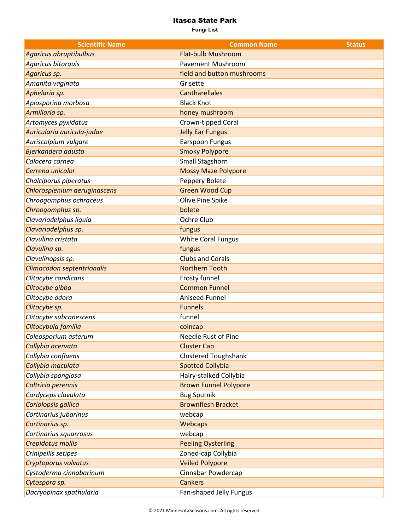| <b>Scientific Name</b>       | <b>Common Name</b>           | <b>Status</b> |
|------------------------------|------------------------------|---------------|
| Agaricus abruptibulbus       | <b>Flat-bulb Mushroom</b>    |               |
| Agaricus bitorquis           | <b>Pavement Mushroom</b>     |               |
| Agaricus sp.                 | field and button mushrooms   |               |
| Amanita vaginata             | Grisette                     |               |
| Aphelaria sp.                | <b>Cantharellales</b>        |               |
| Apiosporina morbosa          | <b>Black Knot</b>            |               |
| Armillaria sp.               | honey mushroom               |               |
| Artomyces pyxidatus          | Crown-tipped Coral           |               |
| Auricularia auricula-judae   | <b>Jelly Ear Fungus</b>      |               |
| Auriscalpium vulgare         | <b>Earspoon Fungus</b>       |               |
| Bjerkandera adusta           | <b>Smoky Polypore</b>        |               |
| Calocera cornea              | Small Stagshorn              |               |
| Cerrena unicolor             | <b>Mossy Maze Polypore</b>   |               |
| Chalciporus piperatus        | Peppery Bolete               |               |
| Chlorosplenium aeruginascens | <b>Green Wood Cup</b>        |               |
| Chroogomphus ochraceus       | Olive Pine Spike             |               |
| Chroogomphus sp.             | bolete                       |               |
| Clavariadelphus ligula       | Ochre Club                   |               |
| Clavariadelphus sp.          | fungus                       |               |
| Clavulina cristata           | <b>White Coral Fungus</b>    |               |
| Clavulina sp.                | fungus                       |               |
| Clavulinopsis sp.            | <b>Clubs and Corals</b>      |               |
| Climacodon septentrionalis   | <b>Northern Tooth</b>        |               |
| Clitocybe candicans          | Frosty funnel                |               |
| Clitocybe gibba              | <b>Common Funnel</b>         |               |
| Clitocybe odora              | Aniseed Funnel               |               |
| Clitocybe sp.                | <b>Funnels</b>               |               |
| Clitocybe subcanescens       | funnel                       |               |
| Clitocybula familia          | coincap                      |               |
| Coleosporium asterum         | Needle Rust of Pine          |               |
| Collybia acervata            | <b>Cluster Cap</b>           |               |
| Collybia confluens           | <b>Clustered Toughshank</b>  |               |
| Collybia maculata            | <b>Spotted Collybia</b>      |               |
| Collybia spongiosa           | Hairy-stalked Collybia       |               |
| Coltricia perennis           | <b>Brown Funnel Polypore</b> |               |
| Cordyceps clavulata          | <b>Bug Sputnik</b>           |               |
| Coriolopsis gallica          | <b>Brownflesh Bracket</b>    |               |
| Cortinarius jubarinus        | webcap                       |               |
| Cortinarius sp.              | Webcaps                      |               |
| Cortinarius squarrosus       | webcap                       |               |
| Crepidotus mollis            | <b>Peeling Oysterling</b>    |               |
| Crinipellis setipes          | Zoned-cap Collybia           |               |
| Cryptoporus volvatus         | <b>Veiled Polypore</b>       |               |
| Cystoderma cinnabarinum      | Cinnabar Powdercap           |               |
| Cytospora sp.                | <b>Cankers</b>               |               |
| Dacryopinax spathularia      | Fan-shaped Jelly Fungus      |               |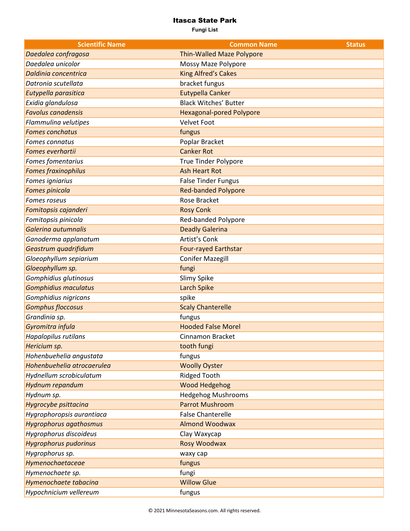| <b>Scientific Name</b>        | <b>Common Name</b>               | <b>Status</b> |
|-------------------------------|----------------------------------|---------------|
| Daedalea confragosa           | <b>Thin-Walled Maze Polypore</b> |               |
| Daedalea unicolor             | Mossy Maze Polypore              |               |
| Daldinia concentrica          | <b>King Alfred's Cakes</b>       |               |
| Datronia scutellata           | bracket fungus                   |               |
| Eutypella parasitica          | <b>Eutypella Canker</b>          |               |
| Exidia glandulosa             | <b>Black Witches' Butter</b>     |               |
| <b>Favolus canadensis</b>     | <b>Hexagonal-pored Polypore</b>  |               |
| Flammulina velutipes          | <b>Velvet Foot</b>               |               |
| <b>Fomes conchatus</b>        | fungus                           |               |
| Fomes connatus                | Poplar Bracket                   |               |
| Fomes everhartii              | <b>Canker Rot</b>                |               |
| Fomes fomentarius             | <b>True Tinder Polypore</b>      |               |
| <b>Fomes fraxinophilus</b>    | <b>Ash Heart Rot</b>             |               |
| Fomes igniarius               | <b>False Tinder Fungus</b>       |               |
| Fomes pinicola                | <b>Red-banded Polypore</b>       |               |
| <b>Fomes roseus</b>           | Rose Bracket                     |               |
| Fomitopsis cajanderi          | <b>Rosy Conk</b>                 |               |
| Fomitopsis pinicola           | Red-banded Polypore              |               |
| Galerina autumnalis           | <b>Deadly Galerina</b>           |               |
| Ganoderma applanatum          | Artist's Conk                    |               |
| Geastrum quadrifidum          | <b>Four-rayed Earthstar</b>      |               |
| Gloeophyllum sepiarium        | <b>Conifer Mazegill</b>          |               |
| Gloeophyllum sp.              | fungi                            |               |
| Gomphidius glutinosus         | Slimy Spike                      |               |
| <b>Gomphidius maculatus</b>   | <b>Larch Spike</b>               |               |
| Gomphidius nigricans          | spike                            |               |
| <b>Gomphus floccosus</b>      | <b>Scaly Chanterelle</b>         |               |
| Grandinia sp.                 | fungus                           |               |
| Gyromitra infula              | <b>Hooded False Morel</b>        |               |
| Hapalopilus rutilans          | Cinnamon Bracket                 |               |
| Hericium sp.                  | tooth fungi                      |               |
| Hohenbuehelia angustata       | fungus                           |               |
| Hohenbuehelia atrocaerulea    | <b>Woolly Oyster</b>             |               |
| Hydnellum scrobiculatum       | <b>Ridged Tooth</b>              |               |
| Hydnum repandum               | <b>Wood Hedgehog</b>             |               |
| Hydnum sp.                    | <b>Hedgehog Mushrooms</b>        |               |
| Hygrocybe psittacina          | <b>Parrot Mushroom</b>           |               |
| Hygrophoropsis aurantiaca     | <b>False Chanterelle</b>         |               |
| <b>Hygrophorus agathosmus</b> | <b>Almond Woodwax</b>            |               |
| Hygrophorus discoideus        | Clay Waxycap                     |               |
| <b>Hygrophorus pudorinus</b>  | Rosy Woodwax                     |               |
| Hygrophorus sp.               | waxy cap                         |               |
| Hymenochaetaceae              | fungus                           |               |
| Hymenochaete sp.              | fungi                            |               |
| Hymenochaete tabacina         | <b>Willow Glue</b>               |               |
| Hypochnicium vellereum        | fungus                           |               |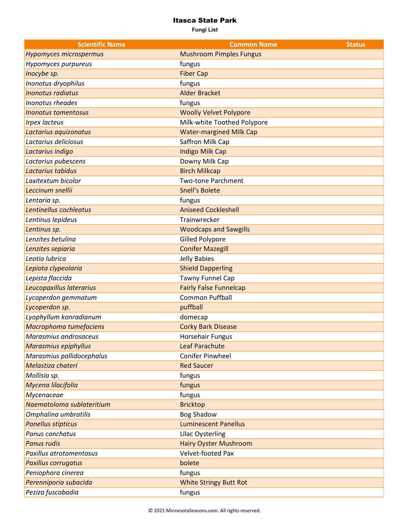| <b>Scientific Name</b>     | <b>Common Name</b>             | <b>Status</b> |
|----------------------------|--------------------------------|---------------|
| Hypomyces microspermus     | <b>Mushroom Pimples Fungus</b> |               |
| Hypomyces purpureus        | fungus                         |               |
| Inocybe sp.                | <b>Fiber Cap</b>               |               |
| Inonotus dryophilus        | fungus                         |               |
| <b>Inonotus radiatus</b>   | <b>Alder Bracket</b>           |               |
| Inonotus rheades           | fungus                         |               |
| <b>Inonotus tomentosus</b> | <b>Woolly Velvet Polypore</b>  |               |
| <b>Irpex lacteus</b>       | Milk-white Toothed Polypore    |               |
| Lactarius aquizonatus      | <b>Water-margined Milk Cap</b> |               |
| Lactarius deliciosus       | Saffron Milk Cap               |               |
| Lactarius indigo           | Indigo Milk Cap                |               |
| Lactarius pubescens        | Downy Milk Cap                 |               |
| Lactarius tabidus          | <b>Birch Milkcap</b>           |               |
| Laxitextum bicolor         | <b>Two-tone Parchment</b>      |               |
| Leccinum snellii           | <b>Snell's Bolete</b>          |               |
| Lentaria sp.               | fungus                         |               |
| Lentinellus cochleatus     | <b>Aniseed Cockleshell</b>     |               |
| Lentinus lepideus          | Trainwrecker                   |               |
| Lentinus sp.               | <b>Woodcaps and Sawgills</b>   |               |
| Lenzites betulina          | <b>Gilled Polypore</b>         |               |
| Lenzites sepiaria          | <b>Conifer Mazegill</b>        |               |
| Leotia lubrica             | Jelly Babies                   |               |
| Lepiota clypeolaria        | <b>Shield Dapperling</b>       |               |
| Lepista flaccida           | Tawny Funnel Cap               |               |
| Leucopaxillus laterarius   | <b>Fairly False Funnelcap</b>  |               |
| Lycoperdon gemmatum        | <b>Common Puffball</b>         |               |
| Lycoperdon sp.             | puffball                       |               |
| Lyophyllum konradianum     | domecap                        |               |
| Macrophoma tumefaciens     | <b>Corky Bark Disease</b>      |               |
| Marasmius androsaceus      | <b>Horsehair Fungus</b>        |               |
| Marasmius epiphyllus       | <b>Leaf Parachute</b>          |               |
| Marasmius pallidocephalus  | Conifer Pinwheel               |               |
| Melastiza chateri          | <b>Red Saucer</b>              |               |
| Mollisia sp.               | fungus                         |               |
| Mycena lilacifolia         | fungus                         |               |
| Mycenaceae                 | fungus                         |               |
| Naematoloma sublateritium  | <b>Bricktop</b>                |               |
| Omphalina umbratilis       | <b>Bog Shadow</b>              |               |
| <b>Panellus stipticus</b>  | <b>Luminescent Panellus</b>    |               |
| Panus conchatus            | Lilac Oysterling               |               |
| <b>Panus rudis</b>         | <b>Hairy Oyster Mushroom</b>   |               |
| Paxillus atrotomentosus    | Velvet-footed Pax              |               |
| <b>Paxillus corrugatus</b> | bolete                         |               |
| Peniophora cinerea         | fungus                         |               |
| Perenniporia subacida      | <b>White Stringy Butt Rot</b>  |               |
| Peziza fuscobadia          | fungus                         |               |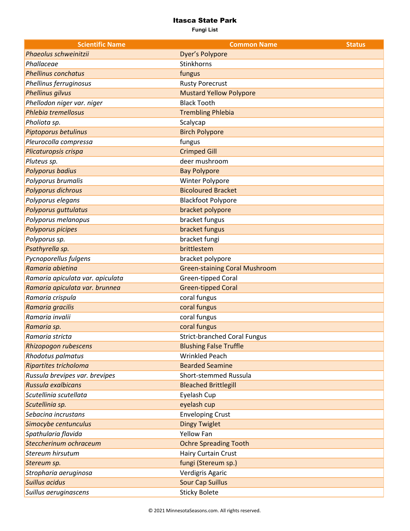| <b>Scientific Name</b>           | <b>Common Name</b>                   | <b>Status</b> |
|----------------------------------|--------------------------------------|---------------|
| Phaeolus schweinitzii            | Dyer's Polypore                      |               |
| Phallaceae                       | Stinkhorns                           |               |
| <b>Phellinus conchatus</b>       | fungus                               |               |
| Phellinus ferruginosus           | <b>Rusty Porecrust</b>               |               |
| <b>Phellinus gilvus</b>          | <b>Mustard Yellow Polypore</b>       |               |
| Phellodon niger var. niger       | <b>Black Tooth</b>                   |               |
| Phlebia tremellosus              | <b>Trembling Phlebia</b>             |               |
| Pholiota sp.                     | Scalycap                             |               |
| Piptoporus betulinus             | <b>Birch Polypore</b>                |               |
| Pleurocolla compressa            | fungus                               |               |
| Plicaturopsis crispa             | <b>Crimped Gill</b>                  |               |
| Pluteus sp.                      | deer mushroom                        |               |
| Polyporus badius                 | <b>Bay Polypore</b>                  |               |
| Polyporus brumalis               | Winter Polypore                      |               |
| Polyporus dichrous               | <b>Bicoloured Bracket</b>            |               |
| Polyporus elegans                | <b>Blackfoot Polypore</b>            |               |
| Polyporus guttulatus             | bracket polypore                     |               |
| Polyporus melanopus              | bracket fungus                       |               |
| Polyporus picipes                | bracket fungus                       |               |
| Polyporus sp.                    | bracket fungi                        |               |
| Psathyrella sp.                  | brittlestem                          |               |
| Pycnoporellus fulgens            | bracket polypore                     |               |
| Ramaria abietina                 | <b>Green-staining Coral Mushroom</b> |               |
| Ramaria apiculata var. apiculata | Green-tipped Coral                   |               |
| Ramaria apiculata var. brunnea   | <b>Green-tipped Coral</b>            |               |
| Ramaria crispula                 | coral fungus                         |               |
| Ramaria gracilis                 | coral fungus                         |               |
| Ramaria invalii                  | coral fungus                         |               |
| Ramaria sp.                      | coral fungus                         |               |
| Ramaria stricta                  | <b>Strict-branched Coral Fungus</b>  |               |
| Rhizopogon rubescens             | <b>Blushing False Truffle</b>        |               |
| Rhodotus palmatus                | <b>Wrinkled Peach</b>                |               |
| Ripartites tricholoma            | <b>Bearded Seamine</b>               |               |
| Russula brevipes var. brevipes   | Short-stemmed Russula                |               |
| Russula exalbicans               | <b>Bleached Brittlegill</b>          |               |
| Scutellinia scutellata           | Eyelash Cup                          |               |
| Scutellinia sp.                  | eyelash cup                          |               |
| Sebacina incrustans              | <b>Enveloping Crust</b>              |               |
| Simocybe centunculus             | <b>Dingy Twiglet</b>                 |               |
| Spathularia flavida              | <b>Yellow Fan</b>                    |               |
| Steccherinum ochraceum           | <b>Ochre Spreading Tooth</b>         |               |
| <b>Stereum hirsutum</b>          | Hairy Curtain Crust                  |               |
| Stereum sp.                      | fungi (Stereum sp.)                  |               |
| Stropharia aeruginosa            | Verdigris Agaric                     |               |
| <b>Suillus acidus</b>            | <b>Sour Cap Suillus</b>              |               |
| Suillus aeruginascens            | <b>Sticky Bolete</b>                 |               |